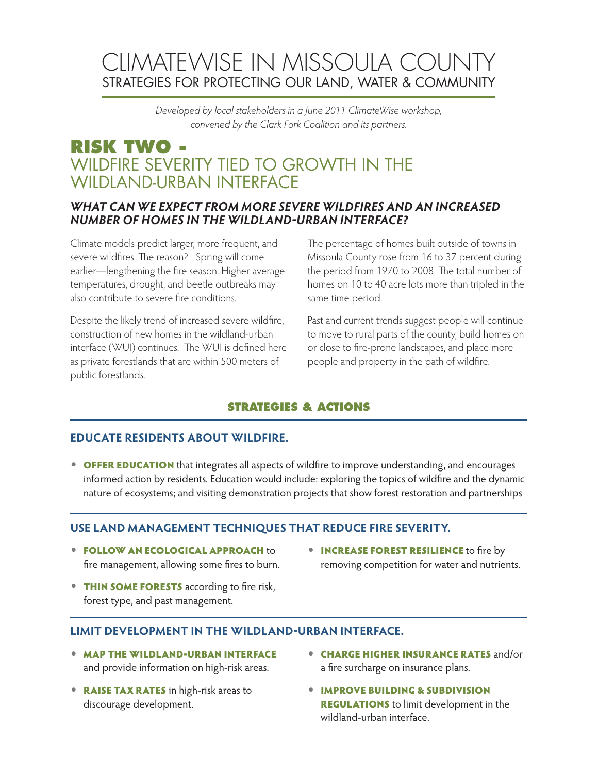# CLIMATEWISE IN MISSOULA COUNTY STRATEGIES FOR PROTECTING OUR LAND, WATER & COMMUNITY

*Developed by local stakeholders in a June 2011 ClimateWise workshop, convened by the Clark Fork Coalition and its partners.*

# **RISK TWO -**  WILDFIRE SEVERITY TIED TO GROWTH IN THE WILDLAND-URBAN INTERFACE

# *WHAT CAN WE EXPECT FROM MORE SEVERE WILDFIRES AND AN INCREASED NUMBER OF HOMES IN THE WILDLAND-URBAN INTERFACE?*

Climate models predict larger, more frequent, and severe wildfires. The reason? Spring will come earlier—lengthening the fire season. Higher average temperatures, drought, and beetle outbreaks may also contribute to severe fire conditions.

Despite the likely trend of increased severe wildfire, construction of new homes in the wildland-urban interface (WUI) continues. The WUI is defined here as private forestlands that are within 500 meters of public forestlands.

The percentage of homes built outside of towns in Missoula County rose from 16 to 37 percent during the period from 1970 to 2008. The total number of homes on 10 to 40 acre lots more than tripled in the same time period.

Past and current trends suggest people will continue to move to rural parts of the county, build homes on or close to fire-prone landscapes, and place more people and property in the path of wildfire.

# **STRATEGIES & ACTIONS**

### **EDUCATE RESIDENTS ABOUT WILDFIRE.**

**• OFFER EDUCATION** that integrates all aspects of wildfire to improve understanding, and encourages informed action by residents. Education would include: exploring the topics of wildfire and the dynamic nature of ecosystems; and visiting demonstration projects that show forest restoration and partnerships

### **USE LAND MANAGEMENT TECHNIQUES THAT REDUCE FIRE SEVERITY.**

- **FOLLOW AN ECOLOGICAL APPROACH to** fire management, allowing some fires to burn.
- **INCREASE FOREST RESILIENCE** to fire by removing competition for water and nutrients.
- THIN SOME FORESTS according to fire risk, forest type, and past management.

# **LIMIT DEVELOPMENT IN THE WILDLAND-URBAN INTERFACE.**

- **MAP THE WILDLAND-URBAN INTERFACE** and provide information on high-risk areas.
- **RAISE TAX RATES** in high-risk areas to discourage development.
- **CHARGE HIGHER INSURANCE RATES and/or** a fire surcharge on insurance plans.
- • IMPROVE BUILDING & SUBDIVISION **REGULATIONS** to limit development in the wildland-urban interface.